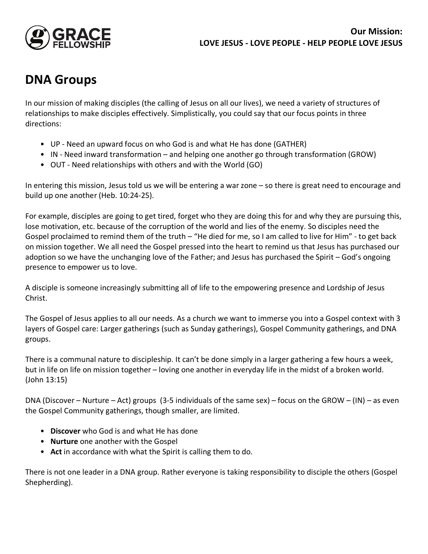

## **DNA Groups**

In our mission of making disciples (the calling of Jesus on all our lives), we need a variety of structures of relationships to make disciples effectively. Simplistically, you could say that our focus points in three directions:

- UP Need an upward focus on who God is and what He has done (GATHER)
- IN Need inward transformation and helping one another go through transformation (GROW)
- OUT Need relationships with others and with the World (GO)

In entering this mission, Jesus told us we will be entering a war zone – so there is great need to encourage and build up one another (Heb. 10:24-25).

For example, disciples are going to get tired, forget who they are doing this for and why they are pursuing this, lose motivation, etc. because of the corruption of the world and lies of the enemy. So disciples need the Gospel proclaimed to remind them of the truth – "He died for me, so I am called to live for Him" - to get back on mission together. We all need the Gospel pressed into the heart to remind us that Jesus has purchased our adoption so we have the unchanging love of the Father; and Jesus has purchased the Spirit – God's ongoing presence to empower us to love.

A disciple is someone increasingly submitting all of life to the empowering presence and Lordship of Jesus Christ.

The Gospel of Jesus applies to all our needs. As a church we want to immerse you into a Gospel context with 3 layers of Gospel care: Larger gatherings (such as Sunday gatherings), Gospel Community gatherings, and DNA groups.

There is a communal nature to discipleship. It can't be done simply in a larger gathering a few hours a week, but in life on life on mission together – loving one another in everyday life in the midst of a broken world. (John 13:15)

DNA (Discover – Nurture – Act) groups (3-5 individuals of the same sex) – focus on the GROW – (IN) – as even the Gospel Community gatherings, though smaller, are limited.

- **Discover** who God is and what He has done
- **Nurture** one another with the Gospel
- **Act** in accordance with what the Spirit is calling them to do.

There is not one leader in a DNA group. Rather everyone is taking responsibility to disciple the others (Gospel Shepherding).